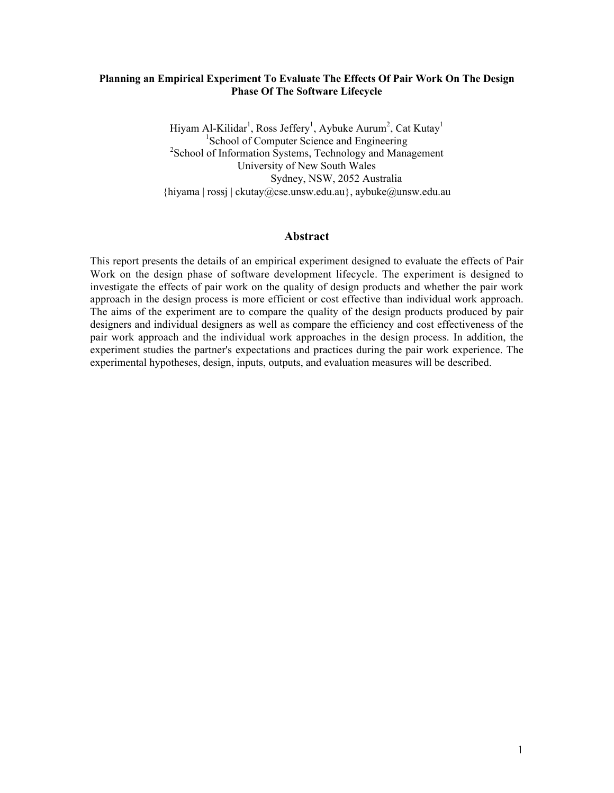### Planning an Empirical Experiment To Evaluate The Effects Of Pair Work On The Design Phase Of The Software Lifecycle

Hiyam Al-Kilidar<sup>1</sup>, Ross Jeffery<sup>1</sup>, Aybuke Aurum<sup>2</sup>, Cat Kutay<sup>1</sup> <sup>1</sup>School of Computer Science and Engineering <sup>2</sup> School of Information Systems, Technology and Management University of New South Wales Sydney, NSW, 2052 Australia {hiyama | rossj | ckutay@cse.unsw.edu.au}, aybuke@unsw.edu.au

#### Abstract

This report presents the details of an empirical experiment designed to evaluate the effects of Pair Work on the design phase of software development lifecycle. The experiment is designed to investigate the effects of pair work on the quality of design products and whether the pair work approach in the design process is more efficient or cost effective than individual work approach. The aims of the experiment are to compare the quality of the design products produced by pair designers and individual designers as well as compare the efficiency and cost effectiveness of the pair work approach and the individual work approaches in the design process. In addition, the experiment studies the partner's expectations and practices during the pair work experience. The experimental hypotheses, design, inputs, outputs, and evaluation measures will be described.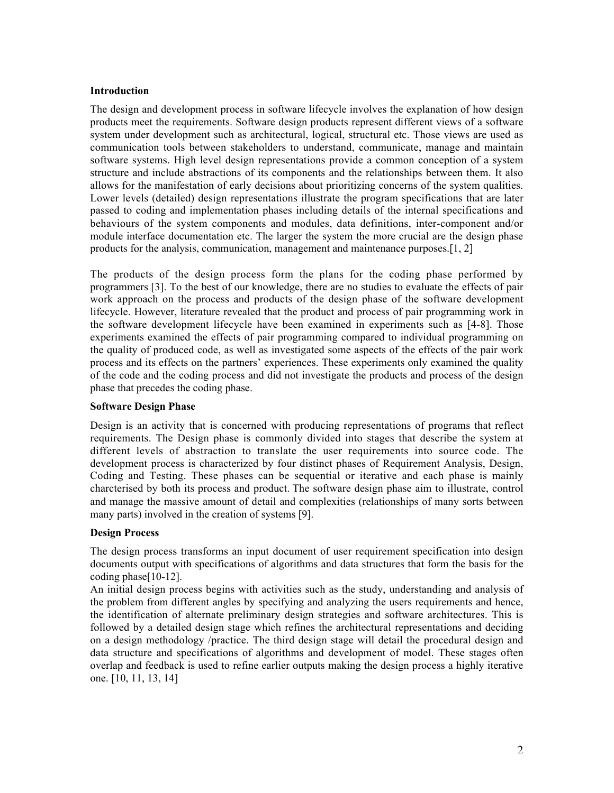#### **Introduction**

The design and development process in software lifecycle involves the explanation of how design products meet the requirements. Software design products represent different views of a software system under development such as architectural, logical, structural etc. Those views are used as communication tools between stakeholders to understand, communicate, manage and maintain software systems. High level design representations provide a common conception of a system structure and include abstractions of its components and the relationships between them. It also allows for the manifestation of early decisions about prioritizing concerns of the system qualities. Lower levels (detailed) design representations illustrate the program specifications that are later passed to coding and implementation phases including details of the internal specifications and behaviours of the system components and modules, data definitions, inter-component and/or module interface documentation etc. The larger the system the more crucial are the design phase products for the analysis, communication, management and maintenance purposes.[1, 2]

The products of the design process form the plans for the coding phase performed by programmers [3]. To the best of our knowledge, there are no studies to evaluate the effects of pair work approach on the process and products of the design phase of the software development lifecycle. However, literature revealed that the product and process of pair programming work in the software development lifecycle have been examined in experiments such as [4-8]. Those experiments examined the effects of pair programming compared to individual programming on the quality of produced code, as well as investigated some aspects of the effects of the pair work process and its effects on the partners' experiences. These experiments only examined the quality of the code and the coding process and did not investigate the products and process of the design phase that precedes the coding phase.

### Software Design Phase

Design is an activity that is concerned with producing representations of programs that reflect requirements. The Design phase is commonly divided into stages that describe the system at different levels of abstraction to translate the user requirements into source code. The development process is characterized by four distinct phases of Requirement Analysis, Design, Coding and Testing. These phases can be sequential or iterative and each phase is mainly charcterised by both its process and product. The software design phase aim to illustrate, control and manage the massive amount of detail and complexities (relationships of many sorts between many parts) involved in the creation of systems [9].

### Design Process

The design process transforms an input document of user requirement specification into design documents output with specifications of algorithms and data structures that form the basis for the coding phase[10-12].

An initial design process begins with activities such as the study, understanding and analysis of the problem from different angles by specifying and analyzing the users requirements and hence, the identification of alternate preliminary design strategies and software architectures. This is followed by a detailed design stage which refines the architectural representations and deciding on a design methodology /practice. The third design stage will detail the procedural design and data structure and specifications of algorithms and development of model. These stages often overlap and feedback is used to refine earlier outputs making the design process a highly iterative one. [10, 11, 13, 14]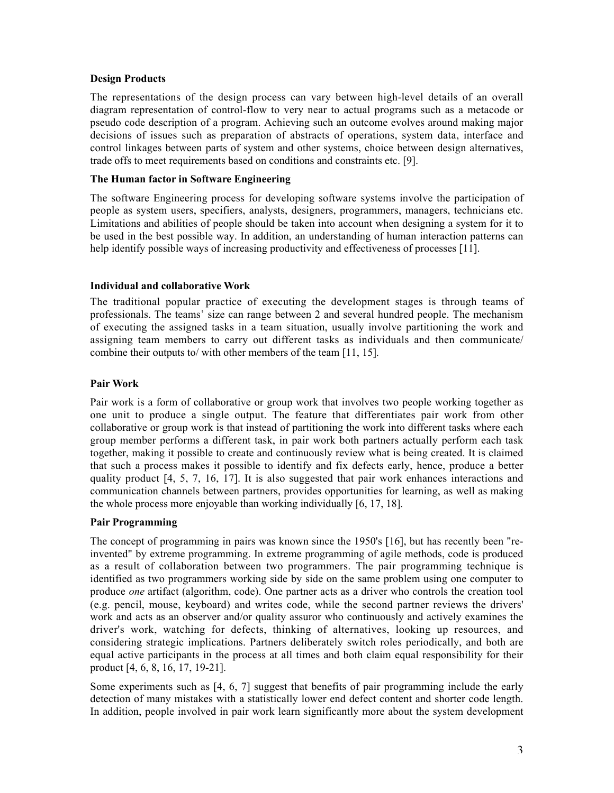#### Design Products

The representations of the design process can vary between high-level details of an overall diagram representation of control-flow to very near to actual programs such as a metacode or pseudo code description of a program. Achieving such an outcome evolves around making major decisions of issues such as preparation of abstracts of operations, system data, interface and control linkages between parts of system and other systems, choice between design alternatives, trade offs to meet requirements based on conditions and constraints etc. [9].

### The Human factor in Software Engineering

The software Engineering process for developing software systems involve the participation of people as system users, specifiers, analysts, designers, programmers, managers, technicians etc. Limitations and abilities of people should be taken into account when designing a system for it to be used in the best possible way. In addition, an understanding of human interaction patterns can help identify possible ways of increasing productivity and effectiveness of processes [11].

### Individual and collaborative Work

The traditional popular practice of executing the development stages is through teams of professionals. The teams' size can range between 2 and several hundred people. The mechanism of executing the assigned tasks in a team situation, usually involve partitioning the work and assigning team members to carry out different tasks as individuals and then communicate/ combine their outputs to/ with other members of the team [11, 15].

#### Pair Work

Pair work is a form of collaborative or group work that involves two people working together as one unit to produce a single output. The feature that differentiates pair work from other collaborative or group work is that instead of partitioning the work into different tasks where each group member performs a different task, in pair work both partners actually perform each task together, making it possible to create and continuously review what is being created. It is claimed that such a process makes it possible to identify and fix defects early, hence, produce a better quality product [4, 5, 7, 16, 17]. It is also suggested that pair work enhances interactions and communication channels between partners, provides opportunities for learning, as well as making the whole process more enjoyable than working individually [6, 17, 18].

### Pair Programming

The concept of programming in pairs was known since the 1950's [16], but has recently been "reinvented" by extreme programming. In extreme programming of agile methods, code is produced as a result of collaboration between two programmers. The pair programming technique is identified as two programmers working side by side on the same problem using one computer to produce *one* artifact (algorithm, code). One partner acts as a driver who controls the creation tool (e.g. pencil, mouse, keyboard) and writes code, while the second partner reviews the drivers' work and acts as an observer and/or quality assuror who continuously and actively examines the driver's work, watching for defects, thinking of alternatives, looking up resources, and considering strategic implications. Partners deliberately switch roles periodically, and both are equal active participants in the process at all times and both claim equal responsibility for their product [4, 6, 8, 16, 17, 19-21].

Some experiments such as [4, 6, 7] suggest that benefits of pair programming include the early detection of many mistakes with a statistically lower end defect content and shorter code length. In addition, people involved in pair work learn significantly more about the system development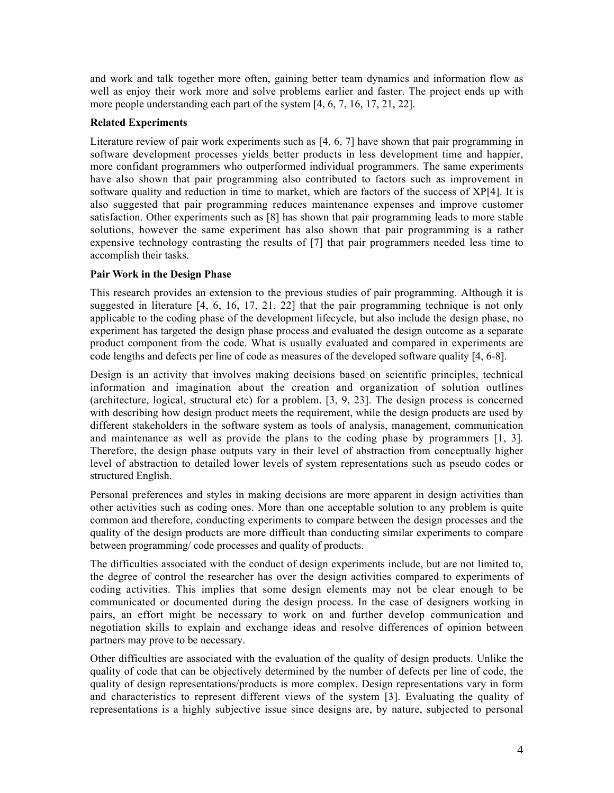and work and talk together more often, gaining better team dynamics and information flow as well as enjoy their work more and solve problems earlier and faster. The project ends up with more people understanding each part of the system [4, 6, 7, 16, 17, 21, 22].

## Related Experiments

Literature review of pair work experiments such as [4, 6, 7] have shown that pair programming in software development processes yields better products in less development time and happier, more confidant programmers who outperformed individual programmers. The same experiments have also shown that pair programming also contributed to factors such as improvement in software quality and reduction in time to market, which are factors of the success of XP[4]. It is also suggested that pair programming reduces maintenance expenses and improve customer satisfaction. Other experiments such as [8] has shown that pair programming leads to more stable solutions, however the same experiment has also shown that pair programming is a rather expensive technology contrasting the results of [7] that pair programmers needed less time to accomplish their tasks.

## Pair Work in the Design Phase

This research provides an extension to the previous studies of pair programming. Although it is suggested in literature  $[4, 6, 16, 17, 21, 22]$  that the pair programming technique is not only applicable to the coding phase of the development lifecycle, but also include the design phase, no experiment has targeted the design phase process and evaluated the design outcome as a separate product component from the code. What is usually evaluated and compared in experiments are code lengths and defects per line of code as measures of the developed software quality [4, 6-8].

Design is an activity that involves making decisions based on scientific principles, technical information and imagination about the creation and organization of solution outlines (architecture, logical, structural etc) for a problem.  $[3, 9, 23]$ . The design process is concerned with describing how design product meets the requirement, while the design products are used by different stakeholders in the software system as tools of analysis, management, communication and maintenance as well as provide the plans to the coding phase by programmers [1, 3]. Therefore, the design phase outputs vary in their level of abstraction from conceptually higher level of abstraction to detailed lower levels of system representations such as pseudo codes or structured English.

Personal preferences and styles in making decisions are more apparent in design activities than other activities such as coding ones. More than one acceptable solution to any problem is quite common and therefore, conducting experiments to compare between the design processes and the quality of the design products are more difficult than conducting similar experiments to compare between programming/ code processes and quality of products.

The difficulties associated with the conduct of design experiments include, but are not limited to, the degree of control the researcher has over the design activities compared to experiments of coding activities. This implies that some design elements may not be clear enough to be communicated or documented during the design process. In the case of designers working in pairs, an effort might be necessary to work on and further develop communication and negotiation skills to explain and exchange ideas and resolve differences of opinion between partners may prove to be necessary.

Other difficulties are associated with the evaluation of the quality of design products. Unlike the quality of code that can be objectively determined by the number of defects per line of code, the quality of design representations/products is more complex. Design representations vary in form and characteristics to represent different views of the system [3]. Evaluating the quality of representations is a highly subjective issue since designs are, by nature, subjected to personal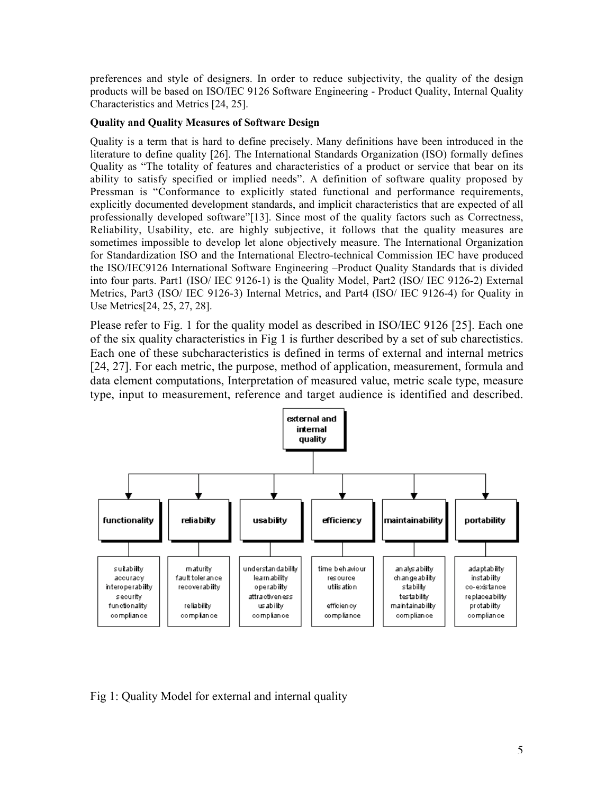preferences and style of designers. In order to reduce subjectivity, the quality of the design products will be based on ISO/IEC 9126 Software Engineering - Product Quality, Internal Quality Characteristics and Metrics [24, 25].

## Quality and Quality Measures of Software Design

Quality is a term that is hard to define precisely. Many definitions have been introduced in the literature to define quality [26]. The International Standards Organization (ISO) formally defines Quality as "The totality of features and characteristics of a product or service that bear on its ability to satisfy specified or implied needs". A definition of software quality proposed by Pressman is "Conformance to explicitly stated functional and performance requirements, explicitly documented development standards, and implicit characteristics that are expected of all professionally developed software"[13]. Since most of the quality factors such as Correctness, Reliability, Usability, etc. are highly subjective, it follows that the quality measures are sometimes impossible to develop let alone objectively measure. The International Organization for Standardization ISO and the International Electro-technical Commission IEC have produced the ISO/IEC9126 International Software Engineering –Product Quality Standards that is divided into four parts. Part1 (ISO/ IEC 9126-1) is the Quality Model, Part2 (ISO/ IEC 9126-2) External Metrics, Part3 (ISO/ IEC 9126-3) Internal Metrics, and Part4 (ISO/ IEC 9126-4) for Quality in Use Metrics[24, 25, 27, 28].

Please refer to Fig. 1 for the quality model as described in ISO/IEC 9126 [25]. Each one of the six quality characteristics in Fig 1 is further described by a set of sub charectistics. Each one of these subcharacteristics is defined in terms of external and internal metrics [24, 27]. For each metric, the purpose, method of application, measurement, formula and data element computations, Interpretation of measured value, metric scale type, measure type, input to measurement, reference and target audience is identified and described.



# Fig 1: Quality Model for external and internal quality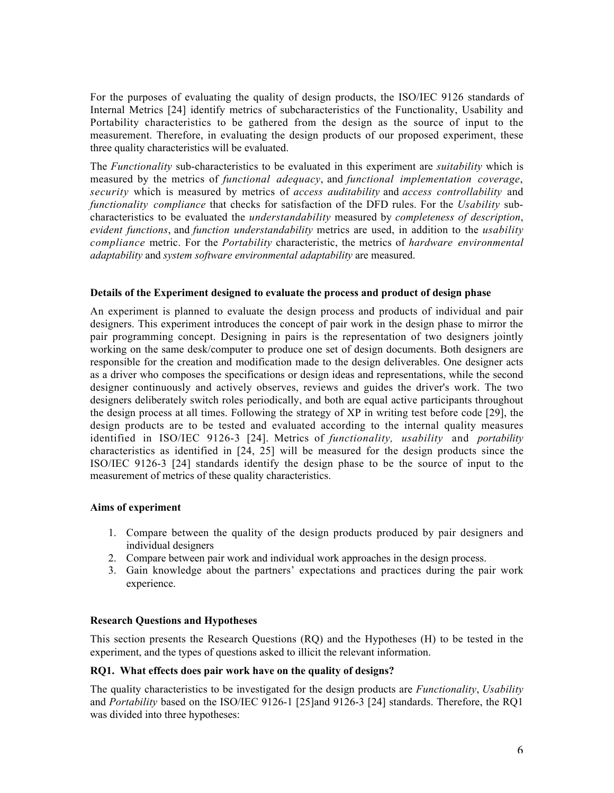For the purposes of evaluating the quality of design products, the ISO/IEC 9126 standards of Internal Metrics [24] identify metrics of subcharacteristics of the Functionality, Usability and Portability characteristics to be gathered from the design as the source of input to the measurement. Therefore, in evaluating the design products of our proposed experiment, these three quality characteristics will be evaluated.

The *Functionality* sub-characteristics to be evaluated in this experiment are *suitability* which is measured by the metrics of *functional adequacy*, and *functional implementation coverage*, *security* which is measured by metrics of *access auditability* and *access controllability* and *functionality compliance* that checks for satisfaction of the DFD rules. For the *Usability* subcharacteristics to be evaluated the *understandability* measured by *completeness of description*, *evident functions*, and *function understandability* metrics are used, in addition to the *usability compliance* metric. For the *Portability* characteristic, the metrics of *hardware environmental adaptability* and *system software environmental adaptability* are measured.

#### Details of the Experiment designed to evaluate the process and product of design phase

An experiment is planned to evaluate the design process and products of individual and pair designers. This experiment introduces the concept of pair work in the design phase to mirror the pair programming concept. Designing in pairs is the representation of two designers jointly working on the same desk/computer to produce one set of design documents. Both designers are responsible for the creation and modification made to the design deliverables. One designer acts as a driver who composes the specifications or design ideas and representations, while the second designer continuously and actively observes, reviews and guides the driver's work. The two designers deliberately switch roles periodically, and both are equal active participants throughout the design process at all times. Following the strategy of XP in writing test before code [29], the design products are to be tested and evaluated according to the internal quality measures identified in ISO/IEC 9126-3 [24]. Metrics of *functionality, usability* and *portability* characteristics as identified in [24, 25] will be measured for the design products since the ISO/IEC 9126-3 [24] standards identify the design phase to be the source of input to the measurement of metrics of these quality characteristics.

### Aims of experiment

- 1. Compare between the quality of the design products produced by pair designers and individual designers
- 2. Compare between pair work and individual work approaches in the design process.
- 3. Gain knowledge about the partners' expectations and practices during the pair work experience.

#### Research Questions and Hypotheses

This section presents the Research Questions (RQ) and the Hypotheses (H) to be tested in the experiment, and the types of questions asked to illicit the relevant information.

#### RQ1. What effects does pair work have on the quality of designs?

The quality characteristics to be investigated for the design products are *Functionality*, *Usability* and *Portability* based on the ISO/IEC 9126-1 [25]and 9126-3 [24] standards. Therefore, the RQ1 was divided into three hypotheses: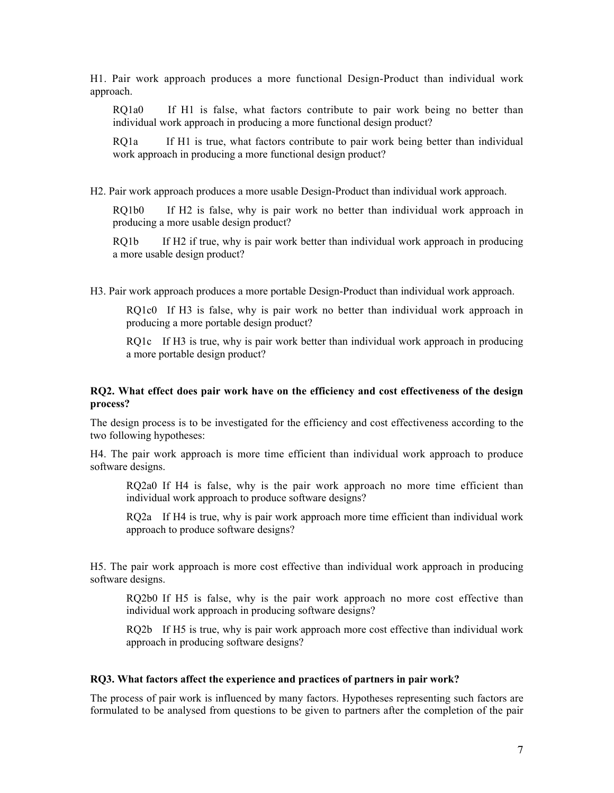H1. Pair work approach produces a more functional Design-Product than individual work approach.

RQ1a0 If H1 is false, what factors contribute to pair work being no better than individual work approach in producing a more functional design product?

RQ1a If H1 is true, what factors contribute to pair work being better than individual work approach in producing a more functional design product?

H2. Pair work approach produces a more usable Design-Product than individual work approach.

RQ1b0 If H2 is false, why is pair work no better than individual work approach in producing a more usable design product?

RQ1b If H2 if true, why is pair work better than individual work approach in producing a more usable design product?

H3. Pair work approach produces a more portable Design-Product than individual work approach.

RQ1c0 If H3 is false, why is pair work no better than individual work approach in producing a more portable design product?

RQ1c If H3 is true, why is pair work better than individual work approach in producing a more portable design product?

#### RQ2. What effect does pair work have on the efficiency and cost effectiveness of the design process?

The design process is to be investigated for the efficiency and cost effectiveness according to the two following hypotheses:

H4. The pair work approach is more time efficient than individual work approach to produce software designs.

RQ2a0 If H4 is false, why is the pair work approach no more time efficient than individual work approach to produce software designs?

RQ2a If H4 is true, why is pair work approach more time efficient than individual work approach to produce software designs?

H5. The pair work approach is more cost effective than individual work approach in producing software designs.

RQ2b0 If H5 is false, why is the pair work approach no more cost effective than individual work approach in producing software designs?

RQ2b If H5 is true, why is pair work approach more cost effective than individual work approach in producing software designs?

#### RQ3. What factors affect the experience and practices of partners in pair work?

The process of pair work is influenced by many factors. Hypotheses representing such factors are formulated to be analysed from questions to be given to partners after the completion of the pair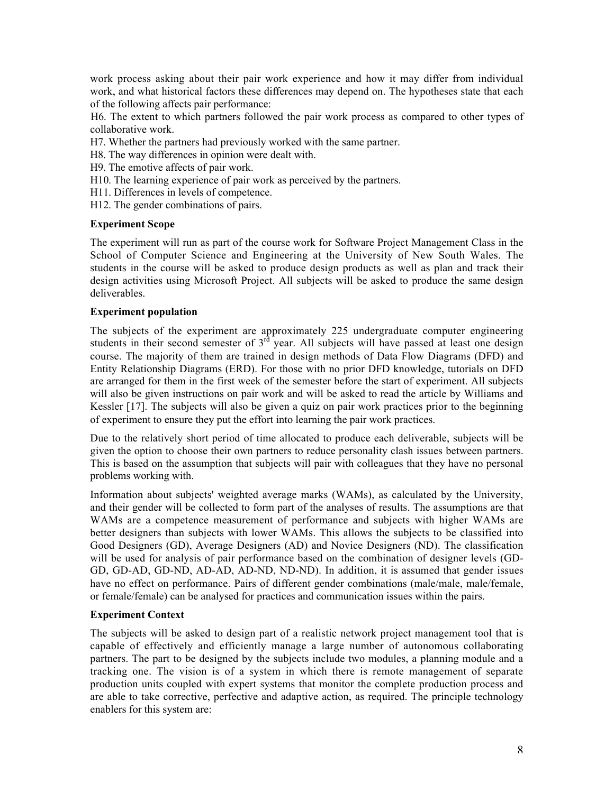work process asking about their pair work experience and how it may differ from individual work, and what historical factors these differences may depend on. The hypotheses state that each of the following affects pair performance:

H6. The extent to which partners followed the pair work process as compared to other types of collaborative work.

- H7. Whether the partners had previously worked with the same partner.
- H8. The way differences in opinion were dealt with.
- H9. The emotive affects of pair work.
- H10. The learning experience of pair work as perceived by the partners.
- H11. Differences in levels of competence.
- H12. The gender combinations of pairs.

### Experiment Scope

The experiment will run as part of the course work for Software Project Management Class in the School of Computer Science and Engineering at the University of New South Wales. The students in the course will be asked to produce design products as well as plan and track their design activities using Microsoft Project. All subjects will be asked to produce the same design deliverables.

## Experiment population

The subjects of the experiment are approximately 225 undergraduate computer engineering students in their second semester of  $3<sup>rd</sup>$  year. All subjects will have passed at least one design course. The majority of them are trained in design methods of Data Flow Diagrams (DFD) and Entity Relationship Diagrams (ERD). For those with no prior DFD knowledge, tutorials on DFD are arranged for them in the first week of the semester before the start of experiment. All subjects will also be given instructions on pair work and will be asked to read the article by Williams and Kessler [17]. The subjects will also be given a quiz on pair work practices prior to the beginning of experiment to ensure they put the effort into learning the pair work practices.

Due to the relatively short period of time allocated to produce each deliverable, subjects will be given the option to choose their own partners to reduce personality clash issues between partners. This is based on the assumption that subjects will pair with colleagues that they have no personal problems working with.

Information about subjects' weighted average marks (WAMs), as calculated by the University, and their gender will be collected to form part of the analyses of results. The assumptions are that WAMs are a competence measurement of performance and subjects with higher WAMs are better designers than subjects with lower WAMs. This allows the subjects to be classified into Good Designers (GD), Average Designers (AD) and Novice Designers (ND). The classification will be used for analysis of pair performance based on the combination of designer levels (GD-GD, GD-AD, GD-ND, AD-AD, AD-ND, ND-ND). In addition, it is assumed that gender issues have no effect on performance. Pairs of different gender combinations (male/male, male/female, or female/female) can be analysed for practices and communication issues within the pairs.

## Experiment Context

The subjects will be asked to design part of a realistic network project management tool that is capable of effectively and efficiently manage a large number of autonomous collaborating partners. The part to be designed by the subjects include two modules, a planning module and a tracking one. The vision is of a system in which there is remote management of separate production units coupled with expert systems that monitor the complete production process and are able to take corrective, perfective and adaptive action, as required. The principle technology enablers for this system are: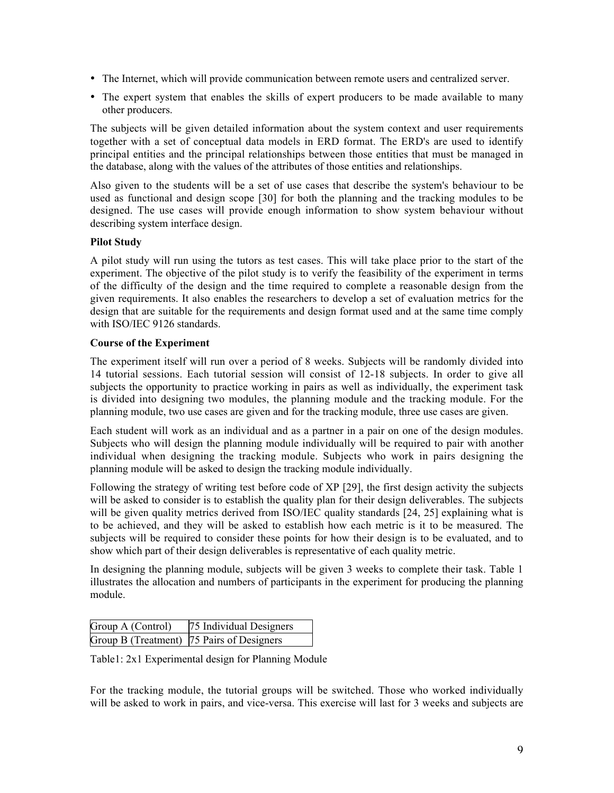- The Internet, which will provide communication between remote users and centralized server.
- The expert system that enables the skills of expert producers to be made available to many other producers.

The subjects will be given detailed information about the system context and user requirements together with a set of conceptual data models in ERD format. The ERD's are used to identify principal entities and the principal relationships between those entities that must be managed in the database, along with the values of the attributes of those entities and relationships.

Also given to the students will be a set of use cases that describe the system's behaviour to be used as functional and design scope [30] for both the planning and the tracking modules to be designed. The use cases will provide enough information to show system behaviour without describing system interface design.

### Pilot Study

A pilot study will run using the tutors as test cases. This will take place prior to the start of the experiment. The objective of the pilot study is to verify the feasibility of the experiment in terms of the difficulty of the design and the time required to complete a reasonable design from the given requirements. It also enables the researchers to develop a set of evaluation metrics for the design that are suitable for the requirements and design format used and at the same time comply with ISO/IEC 9126 standards.

## Course of the Experiment

The experiment itself will run over a period of 8 weeks. Subjects will be randomly divided into 14 tutorial sessions. Each tutorial session will consist of 12-18 subjects. In order to give all subjects the opportunity to practice working in pairs as well as individually, the experiment task is divided into designing two modules, the planning module and the tracking module. For the planning module, two use cases are given and for the tracking module, three use cases are given.

Each student will work as an individual and as a partner in a pair on one of the design modules. Subjects who will design the planning module individually will be required to pair with another individual when designing the tracking module. Subjects who work in pairs designing the planning module will be asked to design the tracking module individually.

Following the strategy of writing test before code of XP [29], the first design activity the subjects will be asked to consider is to establish the quality plan for their design deliverables. The subjects will be given quality metrics derived from ISO/IEC quality standards [24, 25] explaining what is to be achieved, and they will be asked to establish how each metric is it to be measured. The subjects will be required to consider these points for how their design is to be evaluated, and to show which part of their design deliverables is representative of each quality metric.

In designing the planning module, subjects will be given 3 weeks to complete their task. Table 1 illustrates the allocation and numbers of participants in the experiment for producing the planning module.

| Group A (Control)                         | 75 Individual Designers |
|-------------------------------------------|-------------------------|
| Group B (Treatment) 75 Pairs of Designers |                         |

Table1: 2x1 Experimental design for Planning Module

For the tracking module, the tutorial groups will be switched. Those who worked individually will be asked to work in pairs, and vice-versa. This exercise will last for 3 weeks and subjects are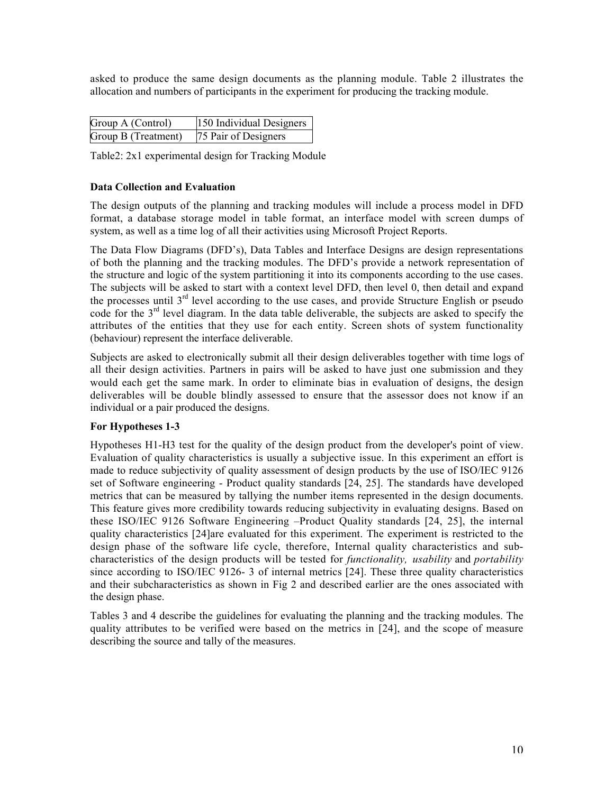asked to produce the same design documents as the planning module. Table 2 illustrates the allocation and numbers of participants in the experiment for producing the tracking module.

| Group A (Control)   | 150 Individual Designers |
|---------------------|--------------------------|
| Group B (Treatment) | 75 Pair of Designers     |

Table2: 2x1 experimental design for Tracking Module

## Data Collection and Evaluation

The design outputs of the planning and tracking modules will include a process model in DFD format, a database storage model in table format, an interface model with screen dumps of system, as well as a time log of all their activities using Microsoft Project Reports.

The Data Flow Diagrams (DFD's), Data Tables and Interface Designs are design representations of both the planning and the tracking modules. The DFD's provide a network representation of the structure and logic of the system partitioning it into its components according to the use cases. The subjects will be asked to start with a context level DFD, then level 0, then detail and expand the processes until  $3<sup>rd</sup>$  level according to the use cases, and provide Structure English or pseudo code for the 3<sup>rd</sup> level diagram. In the data table deliverable, the subjects are asked to specify the attributes of the entities that they use for each entity. Screen shots of system functionality (behaviour) represent the interface deliverable.

Subjects are asked to electronically submit all their design deliverables together with time logs of all their design activities. Partners in pairs will be asked to have just one submission and they would each get the same mark. In order to eliminate bias in evaluation of designs, the design deliverables will be double blindly assessed to ensure that the assessor does not know if an individual or a pair produced the designs.

### For Hypotheses 1-3

Hypotheses H1-H3 test for the quality of the design product from the developer's point of view. Evaluation of quality characteristics is usually a subjective issue. In this experiment an effort is made to reduce subjectivity of quality assessment of design products by the use of ISO/IEC 9126 set of Software engineering - Product quality standards [24, 25]. The standards have developed metrics that can be measured by tallying the number items represented in the design documents. This feature gives more credibility towards reducing subjectivity in evaluating designs. Based on these ISO/IEC 9126 Software Engineering –Product Quality standards [24, 25], the internal quality characteristics [24]are evaluated for this experiment. The experiment is restricted to the design phase of the software life cycle, therefore, Internal quality characteristics and subcharacteristics of the design products will be tested for *functionality, usability* and *portability* since according to ISO/IEC 9126- 3 of internal metrics [24]. These three quality characteristics and their subcharacteristics as shown in Fig 2 and described earlier are the ones associated with the design phase.

Tables 3 and 4 describe the guidelines for evaluating the planning and the tracking modules. The quality attributes to be verified were based on the metrics in [24], and the scope of measure describing the source and tally of the measures.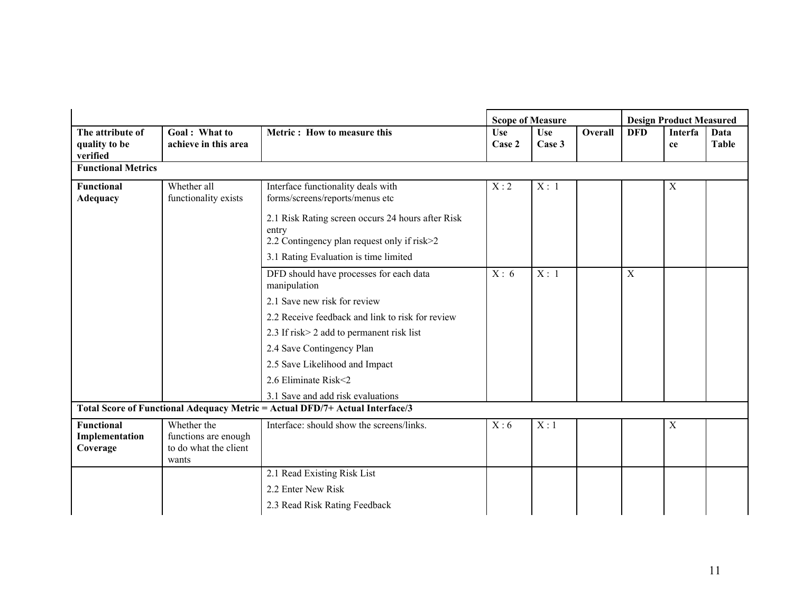|                                                 |                                                                       |                                                                                                           |                      | <b>Scope of Measure</b> |         | <b>Design Product Measured</b> |               |                      |  |
|-------------------------------------------------|-----------------------------------------------------------------------|-----------------------------------------------------------------------------------------------------------|----------------------|-------------------------|---------|--------------------------------|---------------|----------------------|--|
| The attribute of<br>quality to be<br>verified   | Goal: What to<br>achieve in this area                                 | Metric: How to measure this                                                                               | <b>Use</b><br>Case 2 | <b>Use</b><br>Case 3    | Overall | <b>DFD</b>                     | Interfa<br>ce | Data<br><b>Table</b> |  |
| <b>Functional Metrics</b>                       |                                                                       |                                                                                                           |                      |                         |         |                                |               |                      |  |
| Functional<br><b>Adequacy</b>                   | Whether all<br>functionality exists                                   | Interface functionality deals with<br>forms/screens/reports/menus etc                                     | X:2                  | X: 1                    |         |                                | $\mathbf X$   |                      |  |
|                                                 |                                                                       | 2.1 Risk Rating screen occurs 24 hours after Risk<br>entry<br>2.2 Contingency plan request only if risk>2 |                      |                         |         |                                |               |                      |  |
|                                                 |                                                                       | 3.1 Rating Evaluation is time limited                                                                     |                      |                         |         |                                |               |                      |  |
|                                                 |                                                                       | DFD should have processes for each data<br>manipulation                                                   | X: 6                 | X:1                     |         | $\mathbf X$                    |               |                      |  |
|                                                 |                                                                       | 2.1 Save new risk for review                                                                              |                      |                         |         |                                |               |                      |  |
|                                                 |                                                                       | 2.2 Receive feedback and link to risk for review                                                          |                      |                         |         |                                |               |                      |  |
|                                                 |                                                                       | 2.3 If risk > 2 add to permanent risk list                                                                |                      |                         |         |                                |               |                      |  |
|                                                 |                                                                       | 2.4 Save Contingency Plan                                                                                 |                      |                         |         |                                |               |                      |  |
|                                                 |                                                                       | 2.5 Save Likelihood and Impact                                                                            |                      |                         |         |                                |               |                      |  |
|                                                 |                                                                       | 2.6 Eliminate Risk<2                                                                                      |                      |                         |         |                                |               |                      |  |
|                                                 |                                                                       | 3.1 Save and add risk evaluations                                                                         |                      |                         |         |                                |               |                      |  |
|                                                 |                                                                       | Total Score of Functional Adequacy Metric = Actual DFD/7+ Actual Interface/3                              |                      |                         |         |                                |               |                      |  |
| <b>Functional</b><br>Implementation<br>Coverage | Whether the<br>functions are enough<br>to do what the client<br>wants | Interface: should show the screens/links.                                                                 | X:6                  | X:1                     |         |                                | X             |                      |  |
|                                                 |                                                                       | 2.1 Read Existing Risk List                                                                               |                      |                         |         |                                |               |                      |  |
|                                                 |                                                                       | 2.2 Enter New Risk                                                                                        |                      |                         |         |                                |               |                      |  |
|                                                 |                                                                       | 2.3 Read Risk Rating Feedback                                                                             |                      |                         |         |                                |               |                      |  |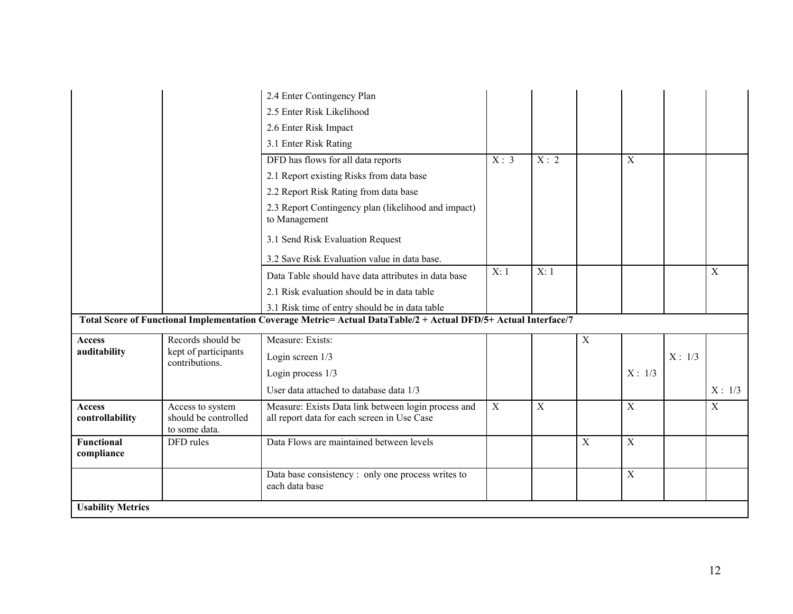|                                  |                                                           | 2.4 Enter Contingency Plan                                                                                      |      |             |                |                |        |             |
|----------------------------------|-----------------------------------------------------------|-----------------------------------------------------------------------------------------------------------------|------|-------------|----------------|----------------|--------|-------------|
|                                  |                                                           | 2.5 Enter Risk Likelihood                                                                                       |      |             |                |                |        |             |
|                                  |                                                           | 2.6 Enter Risk Impact                                                                                           |      |             |                |                |        |             |
|                                  |                                                           | 3.1 Enter Risk Rating                                                                                           |      |             |                |                |        |             |
|                                  |                                                           | DFD has flows for all data reports                                                                              | X: 3 | X:2         |                | $\overline{X}$ |        |             |
|                                  |                                                           | 2.1 Report existing Risks from data base                                                                        |      |             |                |                |        |             |
|                                  |                                                           | 2.2 Report Risk Rating from data base                                                                           |      |             |                |                |        |             |
|                                  |                                                           | 2.3 Report Contingency plan (likelihood and impact)<br>to Management                                            |      |             |                |                |        |             |
|                                  |                                                           | 3.1 Send Risk Evaluation Request                                                                                |      |             |                |                |        |             |
|                                  |                                                           | 3.2 Save Risk Evaluation value in data base.                                                                    |      |             |                |                |        |             |
|                                  |                                                           | Data Table should have data attributes in data base                                                             | X:1  | X:1         |                |                |        | $\mathbf X$ |
|                                  |                                                           | 2.1 Risk evaluation should be in data table                                                                     |      |             |                |                |        |             |
|                                  |                                                           | 3.1 Risk time of entry should be in data table                                                                  |      |             |                |                |        |             |
|                                  |                                                           | Total Score of Functional Implementation Coverage Metric= Actual DataTable/2 + Actual DFD/5+ Actual Interface/7 |      |             |                |                |        |             |
| Access                           | Records should be                                         | Measure: Exists:                                                                                                |      |             | X              |                |        |             |
| auditability                     | kept of participants<br>contributions.                    | Login screen 1/3                                                                                                |      |             |                |                | X: 1/3 |             |
|                                  |                                                           | Login process 1/3                                                                                               |      |             |                | X: 1/3         |        |             |
|                                  |                                                           | User data attached to database data 1/3                                                                         |      |             |                |                |        | X: 1/3      |
| <b>Access</b><br>controllability | Access to system<br>should be controlled<br>to some data. | Measure: Exists Data link between login process and<br>all report data for each screen in Use Case              | X    | $\mathbf X$ |                | $\mathbf X$    |        | X           |
| <b>Functional</b><br>compliance  | DFD rules                                                 | Data Flows are maintained between levels                                                                        |      |             | $\overline{X}$ | $\mathbf X$    |        |             |
|                                  |                                                           | Data base consistency: only one process writes to<br>each data base                                             |      |             |                | $\mathbf X$    |        |             |
| <b>Usability Metrics</b>         |                                                           |                                                                                                                 |      |             |                |                |        |             |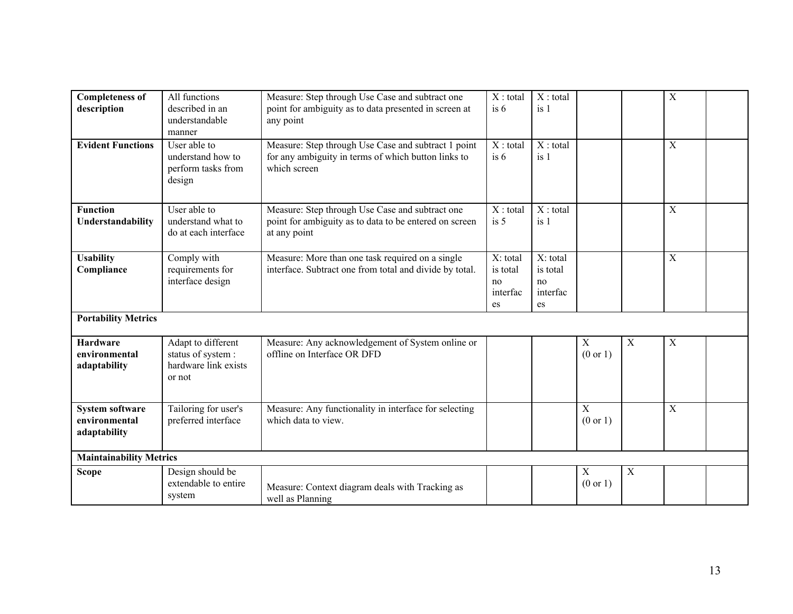| <b>Completeness of</b><br>description                   | All functions<br>described in an<br>understandable                         | Measure: Step through Use Case and subtract one<br>point for ambiguity as to data presented in screen at<br>any point      | $X:$ total<br>is 6                           | $X:$ total<br>is 1                           |                                    |             | $\overline{X}$   |  |
|---------------------------------------------------------|----------------------------------------------------------------------------|----------------------------------------------------------------------------------------------------------------------------|----------------------------------------------|----------------------------------------------|------------------------------------|-------------|------------------|--|
|                                                         | manner                                                                     |                                                                                                                            |                                              |                                              |                                    |             |                  |  |
| <b>Evident Functions</b>                                | User able to<br>understand how to<br>perform tasks from<br>design          | Measure: Step through Use Case and subtract 1 point<br>for any ambiguity in terms of which button links to<br>which screen | $X:$ total<br>is 6                           | $X:$ total<br>is <sub>1</sub>                |                                    |             | $\boldsymbol{X}$ |  |
| <b>Function</b><br>Understandability                    | User able to<br>understand what to<br>do at each interface                 | Measure: Step through Use Case and subtract one<br>point for ambiguity as to data to be entered on screen<br>at any point  | $X:$ total<br>is <sub>5</sub>                | $X:$ total<br>is 1                           |                                    |             | $\mathbf X$      |  |
| <b>Usability</b><br>Compliance                          | Comply with<br>requirements for<br>interface design                        | Measure: More than one task required on a single<br>interface. Subtract one from total and divide by total.                | X: total<br>is total<br>no<br>interfac<br>es | X: total<br>is total<br>no<br>interfac<br>es |                                    |             | $\overline{X}$   |  |
| <b>Portability Metrics</b>                              |                                                                            |                                                                                                                            |                                              |                                              |                                    |             |                  |  |
| <b>Hardware</b><br>environmental<br>adaptability        | Adapt to different<br>status of system :<br>hardware link exists<br>or not | Measure: Any acknowledgement of System online or<br>offline on Interface OR DFD                                            |                                              |                                              | $\mathbf X$<br>$(0 \text{ or } 1)$ | $\mathbf X$ | $\mathbf X$      |  |
| <b>System software</b><br>environmental<br>adaptability | Tailoring for user's<br>preferred interface                                | Measure: Any functionality in interface for selecting<br>which data to view.                                               |                                              |                                              | $\mathbf X$<br>(0 or 1)            |             | X                |  |
| <b>Maintainability Metrics</b>                          |                                                                            |                                                                                                                            |                                              |                                              |                                    |             |                  |  |
| <b>Scope</b>                                            | Design should be<br>extendable to entire<br>system                         | Measure: Context diagram deals with Tracking as<br>well as Planning                                                        |                                              |                                              | $\mathbf X$<br>$(0 \text{ or } 1)$ | $\mathbf X$ |                  |  |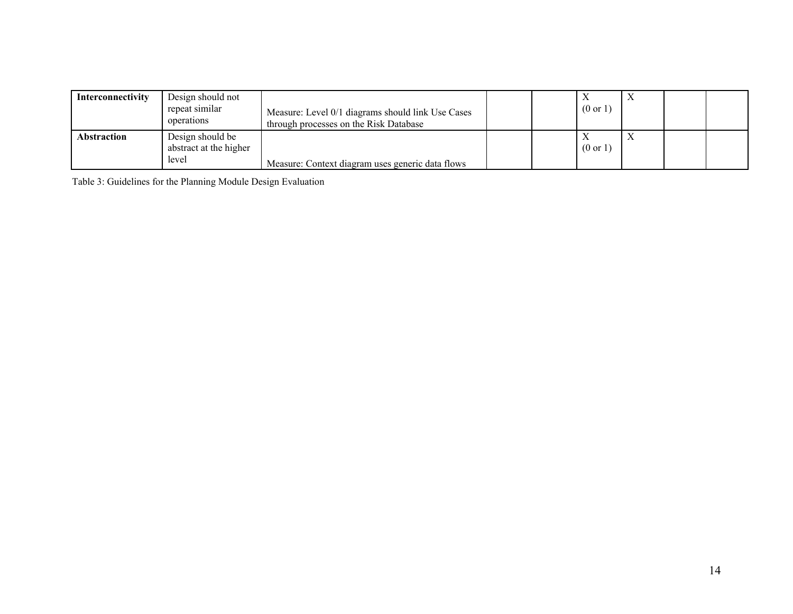| Interconnectivity  | Design should not<br>repeat similar<br>operations   | Measure: Level 0/1 diagrams should link Use Cases<br>through processes on the Risk Database |  | $(0 \text{ or } 1)$ |  |  |
|--------------------|-----------------------------------------------------|---------------------------------------------------------------------------------------------|--|---------------------|--|--|
| <b>Abstraction</b> | Design should be<br>abstract at the higher<br>level | Measure: Context diagram uses generic data flows                                            |  | $(0 \text{ or } 1)$ |  |  |

Table 3: Guidelines for the Planning Module Design Evaluation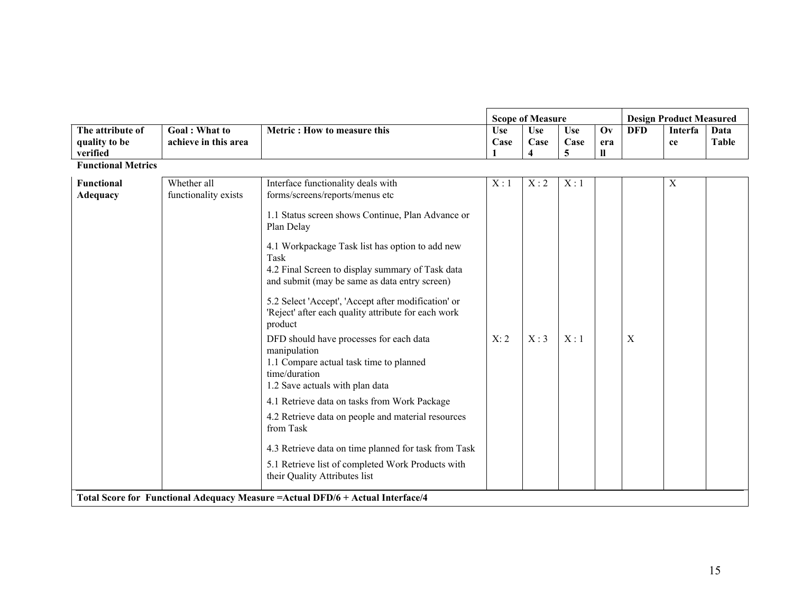|                                       |                                     |                                                                                                                                                              |            | <b>Scope of Measure</b> |            |                        | <b>Design Product Measured</b> |                           |              |  |
|---------------------------------------|-------------------------------------|--------------------------------------------------------------------------------------------------------------------------------------------------------------|------------|-------------------------|------------|------------------------|--------------------------------|---------------------------|--------------|--|
| The attribute of                      | Goal: What to                       | Metric: How to measure this                                                                                                                                  | <b>Use</b> | <b>Use</b>              | <b>Use</b> | $\mathbf{O}\mathbf{v}$ | <b>DFD</b>                     | Interfa                   | Data         |  |
| quality to be                         | achieve in this area                |                                                                                                                                                              | Case       | Case                    | Case       | era                    |                                | ce                        | <b>Table</b> |  |
| verified<br><b>Functional Metrics</b> |                                     |                                                                                                                                                              |            | 4                       | 5          | $\mathbf{u}$           |                                |                           |              |  |
|                                       |                                     |                                                                                                                                                              |            |                         |            |                        |                                |                           |              |  |
| Functional<br><b>Adequacy</b>         | Whether all<br>functionality exists | Interface functionality deals with<br>forms/screens/reports/menus etc                                                                                        | X:1        | X:2                     | X:1        |                        |                                | $\boldsymbol{\mathrm{X}}$ |              |  |
|                                       |                                     | 1.1 Status screen shows Continue, Plan Advance or<br>Plan Delay                                                                                              |            |                         |            |                        |                                |                           |              |  |
|                                       |                                     | 4.1 Workpackage Task list has option to add new<br>Task<br>4.2 Final Screen to display summary of Task data<br>and submit (may be same as data entry screen) |            |                         |            |                        |                                |                           |              |  |
|                                       |                                     | 5.2 Select 'Accept', 'Accept after modification' or<br>'Reject' after each quality attribute for each work<br>product                                        |            |                         |            |                        |                                |                           |              |  |
|                                       |                                     | DFD should have processes for each data<br>manipulation<br>1.1 Compare actual task time to planned<br>time/duration<br>1.2 Save actuals with plan data       | X: 2       | X:3                     | X:1        |                        | X                              |                           |              |  |
|                                       |                                     | 4.1 Retrieve data on tasks from Work Package                                                                                                                 |            |                         |            |                        |                                |                           |              |  |
|                                       |                                     | 4.2 Retrieve data on people and material resources<br>from Task                                                                                              |            |                         |            |                        |                                |                           |              |  |
|                                       |                                     | 4.3 Retrieve data on time planned for task from Task                                                                                                         |            |                         |            |                        |                                |                           |              |  |
|                                       |                                     | 5.1 Retrieve list of completed Work Products with<br>their Quality Attributes list                                                                           |            |                         |            |                        |                                |                           |              |  |
|                                       |                                     | Total Score for Functional Adequacy Measure = Actual DFD/6 + Actual Interface/4                                                                              |            |                         |            |                        |                                |                           |              |  |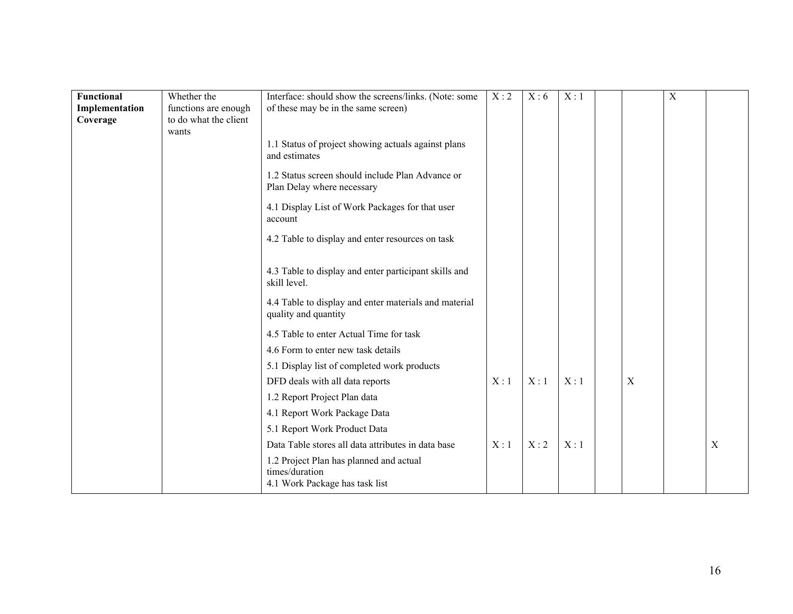| <b>Functional</b> | Whether the           | Interface: should show the screens/links. (Note: some      | X:2 | X:6 | X:1 |                  | $\mathbf X$ |   |
|-------------------|-----------------------|------------------------------------------------------------|-----|-----|-----|------------------|-------------|---|
| Implementation    | functions are enough  | of these may be in the same screen)                        |     |     |     |                  |             |   |
| Coverage          | to do what the client |                                                            |     |     |     |                  |             |   |
|                   | wants                 |                                                            |     |     |     |                  |             |   |
|                   |                       | 1.1 Status of project showing actuals against plans        |     |     |     |                  |             |   |
|                   |                       | and estimates                                              |     |     |     |                  |             |   |
|                   |                       | 1.2 Status screen should include Plan Advance or           |     |     |     |                  |             |   |
|                   |                       | Plan Delay where necessary                                 |     |     |     |                  |             |   |
|                   |                       |                                                            |     |     |     |                  |             |   |
|                   |                       | 4.1 Display List of Work Packages for that user<br>account |     |     |     |                  |             |   |
|                   |                       |                                                            |     |     |     |                  |             |   |
|                   |                       | 4.2 Table to display and enter resources on task           |     |     |     |                  |             |   |
|                   |                       |                                                            |     |     |     |                  |             |   |
|                   |                       | 4.3 Table to display and enter participant skills and      |     |     |     |                  |             |   |
|                   |                       | skill level.                                               |     |     |     |                  |             |   |
|                   |                       | 4.4 Table to display and enter materials and material      |     |     |     |                  |             |   |
|                   |                       | quality and quantity                                       |     |     |     |                  |             |   |
|                   |                       |                                                            |     |     |     |                  |             |   |
|                   |                       | 4.5 Table to enter Actual Time for task                    |     |     |     |                  |             |   |
|                   |                       | 4.6 Form to enter new task details                         |     |     |     |                  |             |   |
|                   |                       | 5.1 Display list of completed work products                |     |     |     |                  |             |   |
|                   |                       | DFD deals with all data reports                            | X:1 | X:1 | X:1 | $\boldsymbol{X}$ |             |   |
|                   |                       | 1.2 Report Project Plan data                               |     |     |     |                  |             |   |
|                   |                       | 4.1 Report Work Package Data                               |     |     |     |                  |             |   |
|                   |                       | 5.1 Report Work Product Data                               |     |     |     |                  |             |   |
|                   |                       | Data Table stores all data attributes in data base         | X:1 | X:2 | X:1 |                  |             | X |
|                   |                       | 1.2 Project Plan has planned and actual                    |     |     |     |                  |             |   |
|                   |                       | times/duration                                             |     |     |     |                  |             |   |
|                   |                       | 4.1 Work Package has task list                             |     |     |     |                  |             |   |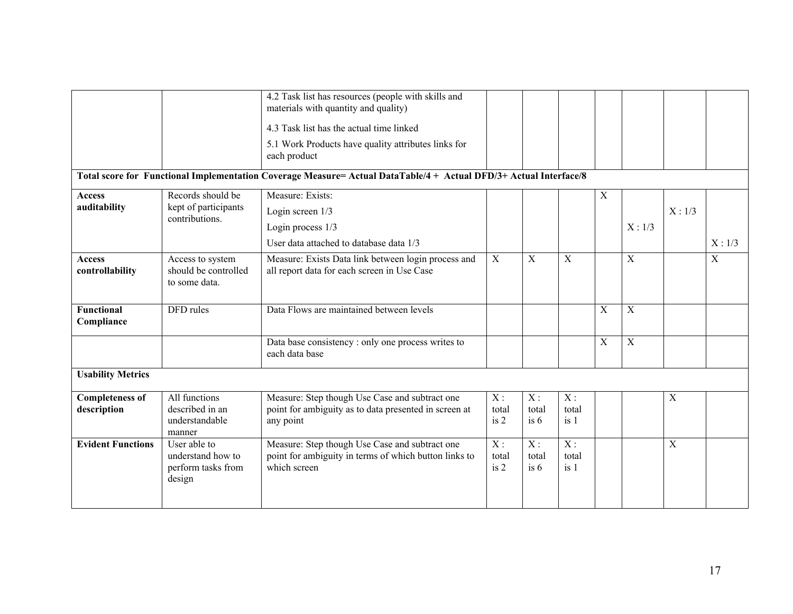|                                       |                                                                   | 4.2 Task list has resources (people with skills and<br>materials with quantity and quality)                             |                                   |                                   |                                   |                           |                           |                |        |
|---------------------------------------|-------------------------------------------------------------------|-------------------------------------------------------------------------------------------------------------------------|-----------------------------------|-----------------------------------|-----------------------------------|---------------------------|---------------------------|----------------|--------|
|                                       |                                                                   | 4.3 Task list has the actual time linked                                                                                |                                   |                                   |                                   |                           |                           |                |        |
|                                       |                                                                   | 5.1 Work Products have quality attributes links for<br>each product                                                     |                                   |                                   |                                   |                           |                           |                |        |
|                                       |                                                                   | Total score for Functional Implementation Coverage Measure= Actual DataTable/4 + Actual DFD/3+ Actual Interface/8       |                                   |                                   |                                   |                           |                           |                |        |
| <b>Access</b>                         | Records should be                                                 | Measure: Exists:                                                                                                        |                                   |                                   |                                   | $\mathbf X$               |                           |                |        |
| auditability                          | kept of participants<br>contributions.                            | Login screen 1/3                                                                                                        |                                   |                                   |                                   |                           |                           | X: 1/3         |        |
|                                       |                                                                   | Login process 1/3                                                                                                       |                                   |                                   |                                   |                           | X: 1/3                    |                |        |
|                                       |                                                                   | User data attached to database data 1/3                                                                                 |                                   |                                   |                                   |                           |                           |                | X: 1/3 |
| <b>Access</b><br>controllability      | Access to system<br>should be controlled<br>to some data.         | Measure: Exists Data link between login process and<br>all report data for each screen in Use Case                      | X                                 | $\overline{X}$                    | $\overline{X}$                    |                           | $\overline{X}$            |                | X      |
| <b>Functional</b><br>Compliance       | DFD rules                                                         | Data Flows are maintained between levels                                                                                |                                   |                                   |                                   | $\boldsymbol{\mathrm{X}}$ | $\overline{X}$            |                |        |
|                                       |                                                                   | Data base consistency : only one process writes to<br>each data base                                                    |                                   |                                   |                                   | $\boldsymbol{\mathrm{X}}$ | $\boldsymbol{\mathrm{X}}$ |                |        |
| <b>Usability Metrics</b>              |                                                                   |                                                                                                                         |                                   |                                   |                                   |                           |                           |                |        |
| <b>Completeness of</b><br>description | All functions<br>described in an<br>understandable<br>manner      | Measure: Step though Use Case and subtract one<br>point for ambiguity as to data presented in screen at<br>any point    | $X$ :<br>total<br>is 2            | $X$ :<br>total<br>is 6            | $X$ :<br>total<br>is <sub>1</sub> |                           |                           | $\mathbf X$    |        |
| <b>Evident Functions</b>              | User able to<br>understand how to<br>perform tasks from<br>design | Measure: Step though Use Case and subtract one<br>point for ambiguity in terms of which button links to<br>which screen | $\overline{X}$ :<br>total<br>is 2 | $\overline{X}$ :<br>total<br>is 6 | $\overline{X}$ :<br>total<br>is 1 |                           |                           | $\overline{X}$ |        |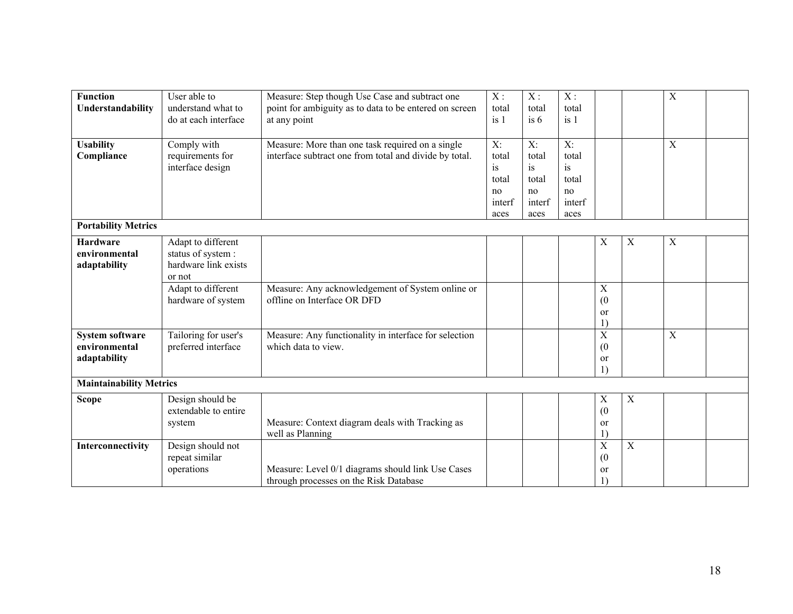| <b>Function</b>                | User able to         | Measure: Step though Use Case and subtract one         | X:              | X:     | X:     |                  |             | X                |  |
|--------------------------------|----------------------|--------------------------------------------------------|-----------------|--------|--------|------------------|-------------|------------------|--|
| Understandability              | understand what to   | point for ambiguity as to data to be entered on screen | total           | total  | total  |                  |             |                  |  |
|                                | do at each interface | at any point                                           | is <sub>1</sub> | is $6$ | is 1   |                  |             |                  |  |
|                                |                      |                                                        |                 |        |        |                  |             |                  |  |
| <b>Usability</b>               | Comply with          | Measure: More than one task required on a single       | $X$ :           | $X$ :  | $X$ :  |                  |             | $\boldsymbol{X}$ |  |
| Compliance                     | requirements for     | interface subtract one from total and divide by total. | total           | total  | total  |                  |             |                  |  |
|                                | interface design     |                                                        | is              | is     | is     |                  |             |                  |  |
|                                |                      |                                                        | total           | total  | total  |                  |             |                  |  |
|                                |                      |                                                        | no              | no     | no     |                  |             |                  |  |
|                                |                      |                                                        | interf          | interf | interf |                  |             |                  |  |
|                                |                      |                                                        | aces            | aces   | aces   |                  |             |                  |  |
| <b>Portability Metrics</b>     |                      |                                                        |                 |        |        |                  |             |                  |  |
| <b>Hardware</b>                | Adapt to different   |                                                        |                 |        |        | $\mathbf X$      | $\mathbf X$ | $\boldsymbol{X}$ |  |
| environmental                  | status of system :   |                                                        |                 |        |        |                  |             |                  |  |
| adaptability                   | hardware link exists |                                                        |                 |        |        |                  |             |                  |  |
|                                | or not               |                                                        |                 |        |        |                  |             |                  |  |
|                                | Adapt to different   | Measure: Any acknowledgement of System online or       |                 |        |        | X                |             |                  |  |
|                                | hardware of system   | offline on Interface OR DFD                            |                 |        |        | (0)              |             |                  |  |
|                                |                      |                                                        |                 |        |        | or               |             |                  |  |
|                                |                      |                                                        |                 |        |        | $\left( \right)$ |             |                  |  |
| <b>System software</b>         | Tailoring for user's | Measure: Any functionality in interface for selection  |                 |        |        | $\overline{X}$   |             | $\overline{X}$   |  |
| environmental                  | preferred interface  | which data to view.                                    |                 |        |        | (0)              |             |                  |  |
| adaptability                   |                      |                                                        |                 |        |        | or               |             |                  |  |
|                                |                      |                                                        |                 |        |        | $\left( \right)$ |             |                  |  |
| <b>Maintainability Metrics</b> |                      |                                                        |                 |        |        |                  |             |                  |  |
| <b>Scope</b>                   | Design should be     |                                                        |                 |        |        | $\mathbf X$      | $\mathbf X$ |                  |  |
|                                | extendable to entire |                                                        |                 |        |        | (0)              |             |                  |  |
|                                | system               | Measure: Context diagram deals with Tracking as        |                 |        |        | or               |             |                  |  |
|                                |                      | well as Planning                                       |                 |        |        | $\overline{1}$   |             |                  |  |
| Interconnectivity              | Design should not    |                                                        |                 |        |        | $\mathbf X$      | $\mathbf X$ |                  |  |
|                                | repeat similar       |                                                        |                 |        |        | (0)              |             |                  |  |
|                                | operations           | Measure: Level 0/1 diagrams should link Use Cases      |                 |        |        | or               |             |                  |  |
|                                |                      | through processes on the Risk Database                 |                 |        |        | $\overline{1}$   |             |                  |  |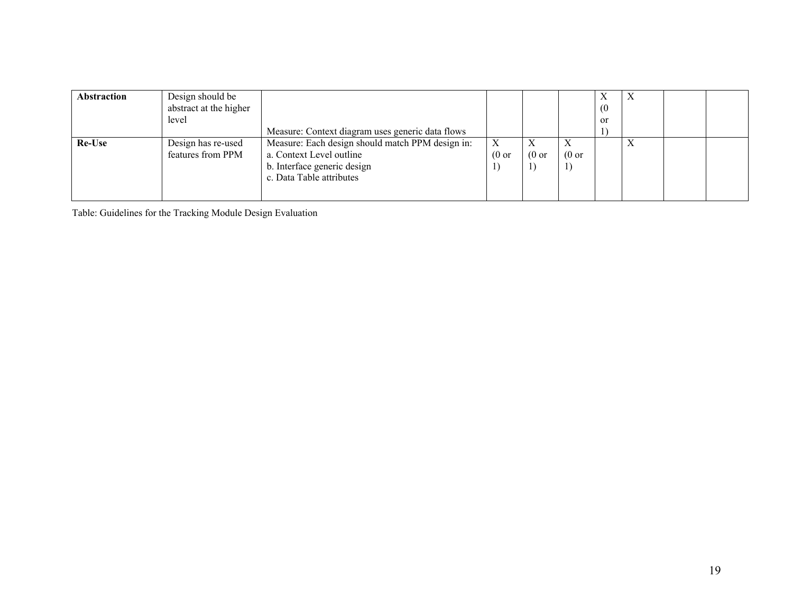| Abstraction | Design should be<br>abstract at the higher<br>level |                                                  |                  |                  |                  | (0)<br>or | $\Lambda$         |  |
|-------------|-----------------------------------------------------|--------------------------------------------------|------------------|------------------|------------------|-----------|-------------------|--|
|             |                                                     | Measure: Context diagram uses generic data flows |                  |                  |                  |           |                   |  |
| Re-Use      | Design has re-used                                  | Measure: Each design should match PPM design in: |                  |                  |                  |           | $\mathbf{v}$<br>A |  |
|             | features from PPM                                   | a. Context Level outline                         | $(0 \text{ or }$ | $(0 \text{ or }$ | $(0 \text{ or }$ |           |                   |  |
|             |                                                     | b. Interface generic design                      |                  |                  |                  |           |                   |  |
|             |                                                     | c. Data Table attributes                         |                  |                  |                  |           |                   |  |
|             |                                                     |                                                  |                  |                  |                  |           |                   |  |

Table: Guidelines for the Tracking Module Design Evaluation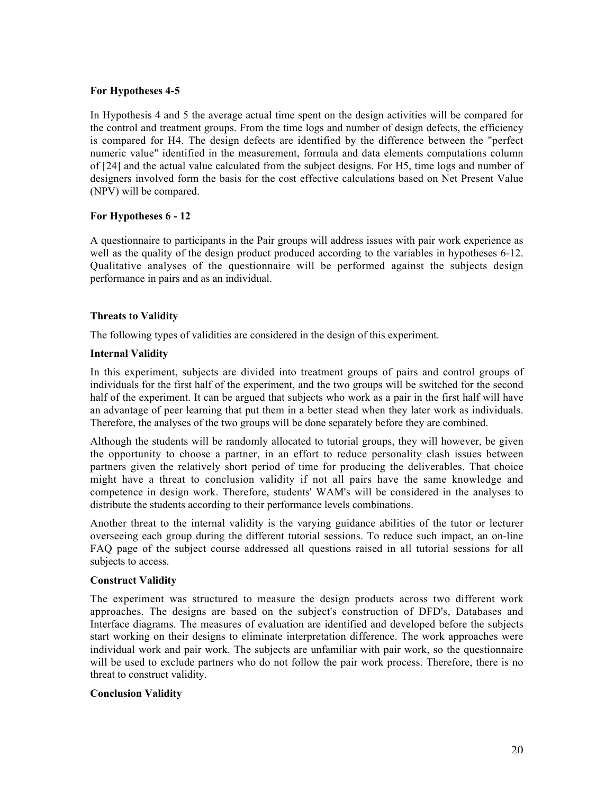## For Hypotheses 4-5

In Hypothesis 4 and 5 the average actual time spent on the design activities will be compared for the control and treatment groups. From the time logs and number of design defects, the efficiency is compared for H4. The design defects are identified by the difference between the "perfect numeric value" identified in the measurement, formula and data elements computations column of [24] and the actual value calculated from the subject designs. For H5, time logs and number of designers involved form the basis for the cost effective calculations based on Net Present Value (NPV) will be compared.

## For Hypotheses 6 - 12

A questionnaire to participants in the Pair groups will address issues with pair work experience as well as the quality of the design product produced according to the variables in hypotheses 6-12. Qualitative analyses of the questionnaire will be performed against the subjects design performance in pairs and as an individual.

### Threats to Validity

The following types of validities are considered in the design of this experiment.

## Internal Validity

In this experiment, subjects are divided into treatment groups of pairs and control groups of individuals for the first half of the experiment, and the two groups will be switched for the second half of the experiment. It can be argued that subjects who work as a pair in the first half will have an advantage of peer learning that put them in a better stead when they later work as individuals. Therefore, the analyses of the two groups will be done separately before they are combined.

Although the students will be randomly allocated to tutorial groups, they will however, be given the opportunity to choose a partner, in an effort to reduce personality clash issues between partners given the relatively short period of time for producing the deliverables. That choice might have a threat to conclusion validity if not all pairs have the same knowledge and competence in design work. Therefore, students' WAM's will be considered in the analyses to distribute the students according to their performance levels combinations.

Another threat to the internal validity is the varying guidance abilities of the tutor or lecturer overseeing each group during the different tutorial sessions. To reduce such impact, an on-line FAQ page of the subject course addressed all questions raised in all tutorial sessions for all subjects to access.

### Construct Validity

The experiment was structured to measure the design products across two different work approaches. The designs are based on the subject's construction of DFD's, Databases and Interface diagrams. The measures of evaluation are identified and developed before the subjects start working on their designs to eliminate interpretation difference. The work approaches were individual work and pair work. The subjects are unfamiliar with pair work, so the questionnaire will be used to exclude partners who do not follow the pair work process. Therefore, there is no threat to construct validity.

### Conclusion Validity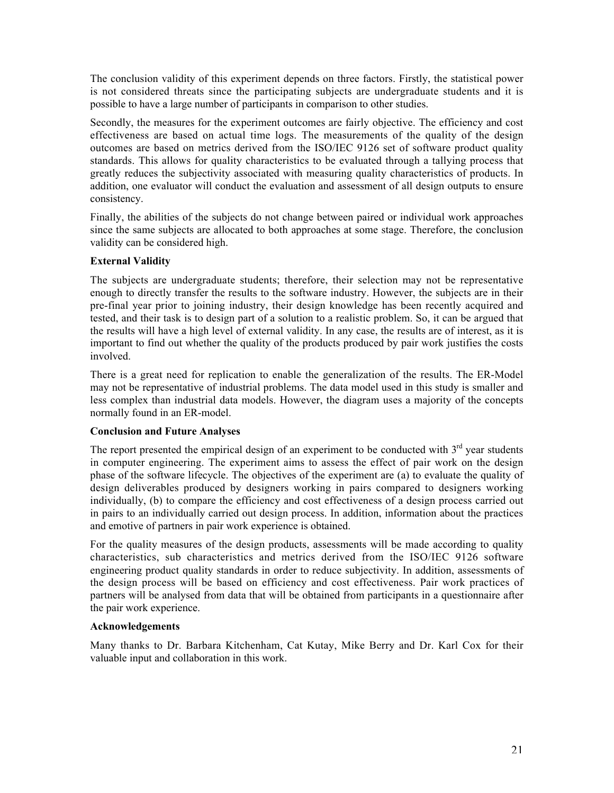The conclusion validity of this experiment depends on three factors. Firstly, the statistical power is not considered threats since the participating subjects are undergraduate students and it is possible to have a large number of participants in comparison to other studies.

Secondly, the measures for the experiment outcomes are fairly objective. The efficiency and cost effectiveness are based on actual time logs. The measurements of the quality of the design outcomes are based on metrics derived from the ISO/IEC 9126 set of software product quality standards. This allows for quality characteristics to be evaluated through a tallying process that greatly reduces the subjectivity associated with measuring quality characteristics of products. In addition, one evaluator will conduct the evaluation and assessment of all design outputs to ensure consistency.

Finally, the abilities of the subjects do not change between paired or individual work approaches since the same subjects are allocated to both approaches at some stage. Therefore, the conclusion validity can be considered high.

## External Validity

The subjects are undergraduate students; therefore, their selection may not be representative enough to directly transfer the results to the software industry. However, the subjects are in their pre-final year prior to joining industry, their design knowledge has been recently acquired and tested, and their task is to design part of a solution to a realistic problem. So, it can be argued that the results will have a high level of external validity. In any case, the results are of interest, as it is important to find out whether the quality of the products produced by pair work justifies the costs involved.

There is a great need for replication to enable the generalization of the results. The ER-Model may not be representative of industrial problems. The data model used in this study is smaller and less complex than industrial data models. However, the diagram uses a majority of the concepts normally found in an ER-model.

### Conclusion and Future Analyses

The report presented the empirical design of an experiment to be conducted with  $3<sup>rd</sup>$  year students in computer engineering. The experiment aims to assess the effect of pair work on the design phase of the software lifecycle. The objectives of the experiment are (a) to evaluate the quality of design deliverables produced by designers working in pairs compared to designers working individually, (b) to compare the efficiency and cost effectiveness of a design process carried out in pairs to an individually carried out design process. In addition, information about the practices and emotive of partners in pair work experience is obtained.

For the quality measures of the design products, assessments will be made according to quality characteristics, sub characteristics and metrics derived from the ISO/IEC 9126 software engineering product quality standards in order to reduce subjectivity. In addition, assessments of the design process will be based on efficiency and cost effectiveness. Pair work practices of partners will be analysed from data that will be obtained from participants in a questionnaire after the pair work experience.

### Acknowledgements

Many thanks to Dr. Barbara Kitchenham, Cat Kutay, Mike Berry and Dr. Karl Cox for their valuable input and collaboration in this work.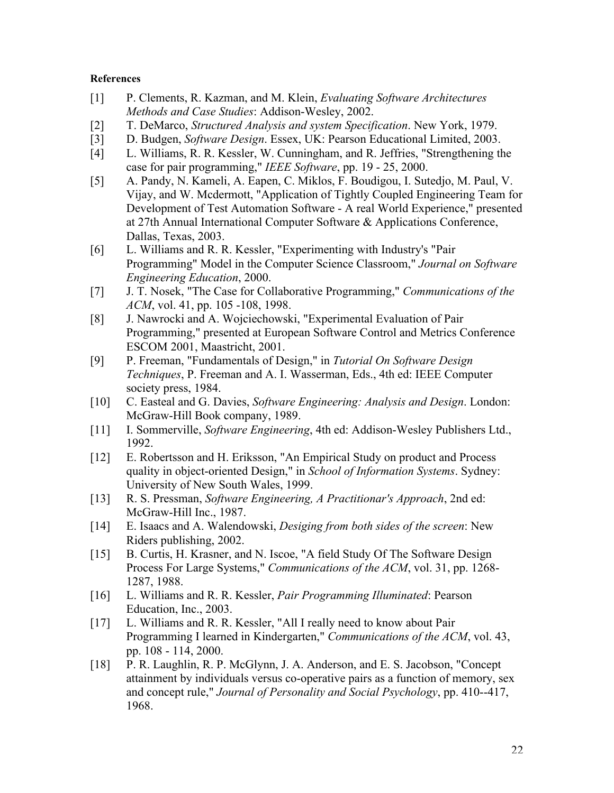### **References**

- [1] P. Clements, R. Kazman, and M. Klein, *Evaluating Software Architectures Methods and Case Studies*: Addison-Wesley, 2002.
- [2] T. DeMarco, *Structured Analysis and system Specification*. New York, 1979.
- [3] D. Budgen, *Software Design*. Essex, UK: Pearson Educational Limited, 2003.
- [4] L. Williams, R. R. Kessler, W. Cunningham, and R. Jeffries, "Strengthening the case for pair programming," *IEEE Software*, pp. 19 - 25, 2000.
- [5] A. Pandy, N. Kameli, A. Eapen, C. Miklos, F. Boudigou, I. Sutedjo, M. Paul, V. Vijay, and W. Mcdermott, "Application of Tightly Coupled Engineering Team for Development of Test Automation Software - A real World Experience," presented at 27th Annual International Computer Software & Applications Conference, Dallas, Texas, 2003.
- [6] L. Williams and R. R. Kessler, "Experimenting with Industry's "Pair Programming" Model in the Computer Science Classroom," *Journal on Software Engineering Education*, 2000.
- [7] J. T. Nosek, "The Case for Collaborative Programming," *Communications of the ACM*, vol. 41, pp. 105 -108, 1998.
- [8] J. Nawrocki and A. Wojciechowski, "Experimental Evaluation of Pair Programming," presented at European Software Control and Metrics Conference ESCOM 2001, Maastricht, 2001.
- [9] P. Freeman, "Fundamentals of Design," in *Tutorial On Software Design Techniques*, P. Freeman and A. I. Wasserman, Eds., 4th ed: IEEE Computer society press, 1984.
- [10] C. Easteal and G. Davies, *Software Engineering: Analysis and Design*. London: McGraw-Hill Book company, 1989.
- [11] I. Sommerville, *Software Engineering*, 4th ed: Addison-Wesley Publishers Ltd., 1992.
- [12] E. Robertsson and H. Eriksson, "An Empirical Study on product and Process quality in object-oriented Design," in *School of Information Systems*. Sydney: University of New South Wales, 1999.
- [13] R. S. Pressman, *Software Engineering, A Practitionar's Approach*, 2nd ed: McGraw-Hill Inc., 1987.
- [14] E. Isaacs and A. Walendowski, *Desiging from both sides of the screen*: New Riders publishing, 2002.
- [15] B. Curtis, H. Krasner, and N. Iscoe, "A field Study Of The Software Design Process For Large Systems," *Communications of the ACM*, vol. 31, pp. 1268- 1287, 1988.
- [16] L. Williams and R. R. Kessler, *Pair Programming Illuminated*: Pearson Education, Inc., 2003.
- [17] L. Williams and R. R. Kessler, "All I really need to know about Pair Programming I learned in Kindergarten," *Communications of the ACM*, vol. 43, pp. 108 - 114, 2000.
- [18] P. R. Laughlin, R. P. McGlynn, J. A. Anderson, and E. S. Jacobson, "Concept attainment by individuals versus co-operative pairs as a function of memory, sex and concept rule," *Journal of Personality and Social Psychology*, pp. 410--417, 1968.